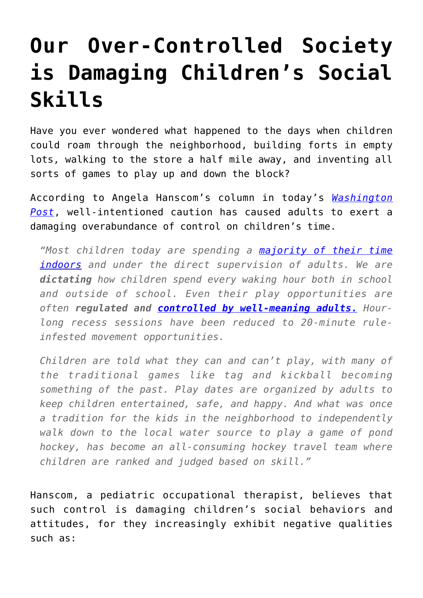## **[Our Over-Controlled Society](https://intellectualtakeout.org/2015/12/our-over-controlled-society-is-damaging-childrens-social-skills/) [is Damaging Children's Social](https://intellectualtakeout.org/2015/12/our-over-controlled-society-is-damaging-childrens-social-skills/) [Skills](https://intellectualtakeout.org/2015/12/our-over-controlled-society-is-damaging-childrens-social-skills/)**

Have you ever wondered what happened to the days when children could roam through the neighborhood, building forts in empty lots, walking to the store a half mile away, and inventing all sorts of games to play up and down the block?

According to Angela Hanscom's column in today's *[Washington](https://www.washingtonpost.com/news/answer-sheet/wp/2015/12/11/why-adults-have-to-stop-trying-so-darn-hard-to-control-how-children-play/) [Post](https://www.washingtonpost.com/news/answer-sheet/wp/2015/12/11/why-adults-have-to-stop-trying-so-darn-hard-to-control-how-children-play/)*, well-intentioned caution has caused adults to exert a damaging overabundance of control on children's time.

*"Most children today are spending a [majority of their time](http://usatoday30.usatoday.com/news/nation/2005-07-11-pastimes-childhood_x.htm) [indoors](http://usatoday30.usatoday.com/news/nation/2005-07-11-pastimes-childhood_x.htm) and under the direct supervision of adults. We are dictating how children spend every waking hour both in school and outside of school. Even their play opportunities are often regulated and [controlled by well-meaning adults.](https://www.psychologytoday.com/blog/freedom-learn/201001/the-decline-play-and-rise-in-childrens-mental-disorders) Hourlong recess sessions have been reduced to 20-minute ruleinfested movement opportunities.*

*Children are told what they can and can't play, with many of the traditional games like tag and kickball becoming something of the past. Play dates are organized by adults to keep children entertained, safe, and happy. And what was once a tradition for the kids in the neighborhood to independently walk down to the local water source to play a game of pond hockey, has become an all-consuming hockey travel team where children are ranked and judged based on skill."*

Hanscom, a pediatric occupational therapist, believes that such control is damaging children's social behaviors and attitudes, for they increasingly exhibit negative qualities such as: